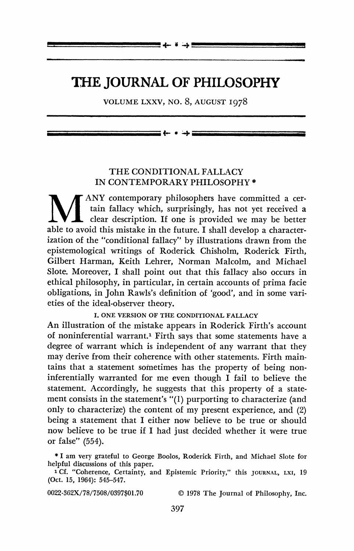# **THE JOURNAL OF PHILOSOPHY**

**VOLUME LXXV, NO. 8, AUGUST I978** 

## **THE CONDITIONAL FALLACY IN CONTEMPORARY PHILOSOPHY \***

**ANY** contemporary philosophers have committed a cer**tain fallacy which, surprisingly, has not yet received a clear description. If one is provided we may be better able to avoid this mistake in the future. I shall develop a characterization of the "conditional fallacy" by illustrations drawn from the epistemological writings of Roderick Chisholm, Roderick Firth, Gilbert Harman, Keith Lehrer, Norman Malcolm, and Michael Slote. Moreover, I shall point out that this fallacy also occurs in ethical philosophy, in particular, in certain accounts of prima facie obligations, in John Rawls's definition of 'good', and in some varieties of the ideal-observer theory.** 

**I. ONE VERSION OF THE CONDITIONAL FALLACY** 

**An illustration of the mistake appears in Roderick Firth's account of noninferential warrant.' Firth says that some statements have a degree of warrant which is independent of any warrant that they may derive from their coherence with other statements. Firth maintains that a statement sometimes has the property of being noninferentially warranted for me even though I fail to believe the statement. Accordingly, he suggests that this property of a statement consists in the statement's "(1) purporting to characterize (and only to characterize) the content of my present experience, and (2) being a statement that I either now believe to be true or should now believe to be true if I had just decided whether it were true or false" (554).** 

**0022-362X/78/7508/0397\$01.70 C 1978 The Journal of Philosophy, Inc.** 

**<sup>\*</sup> I am very grateful to George Boolos, Roderick Firth, and Michael Slote for helpful discussions of this paper.** 

**<sup>1</sup> Cf. "Coherence, Certainty, and Epistemic Priority," this JOURNAL, LXI, 19 (Oct. 15, 1964): 545-547.**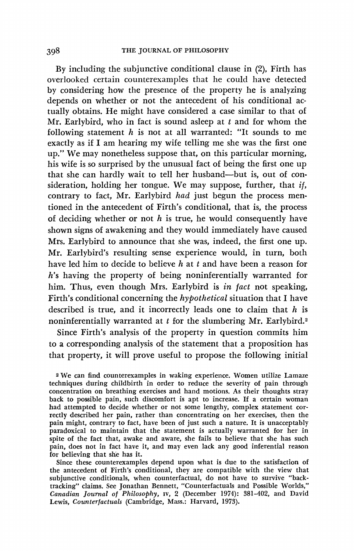**By including the subjunctive conditional clause in (2), Firth has overlooked certain counterexamples that he could have detected by considering how the presence of the property he is analyzing depends on whether or not the antecedent of his conditional actually obtains. He might have considered a case similar to that of Mr. Earlybird, who in fact is sound asleep at t and for whom the following statement h is not at all warranted: "It sounds to me exactly as if I am hearing my wife telling me she was the first one up." We may nonetheless suppose that, on this particular morning, his wife is so surprised by the unusual fact of being the first one up that she can hardly wait to tell her husband-but is, out of consideration, holding her tongue. We may suppose, further, that if, contrary to fact, Mr. Earlybird had just begun the process mentioned in the antecedent of Firth's conditional, that is, the process of deciding whether or not h is true, he would consequently have shown signs of awakening and they would immediately have caused Mrs. Earlybird to announce that she was, indeed, the first one up. Mr. Earlybird's resulting sense experience would, in turn, both have led him to decide to believe h at t and have been a reason for h's having the property of being noninferentially warranted for him. Thus, even though Mrs. Earlybird is in fact not speaking, Firth's conditional concerning the hypothetical situation that I have described is true, and it incorrectly leads one to claim that h is noninferentially warranted at t for the slumbering Mr. Earlybird.2** 

**Since Firth's analysis of the property in question commits him to a corresponding analysis of the statement that a proposition has that property, it will prove useful to propose the following initial** 

**2 We can find counterexamples in waking experience. Women utilize Lamaze techniques during childbirth in order to reduce the severity of pain through concentration on breathing exercises and hand motions. As their thoughts stray back to possible pain, such discomfort is apt to increase. If a certain woman had attempted to decide whether or not some lengthy, complex statement correctly described her pain, rather than concentrating on her exercises, then the pain might, contrary to fact, have been of just such a nature. It is unacceptably paradoxical to maintain that the statement is actually warranted for her in spite of the fact that, awake and aware, she fails to believe that she has such pain, does not in fact have it, and may even lack any good inferential reason**  for believing that she has it.

**Since these counterexamples depend upon what is due to the satisfaction of the antecedent of Firth's conditional, they are compatible with the view that**  subjunctive conditionals, when counterfactual, do not have to survive "back**tracking" claims. See Jonathan Bennett, "Counterfactuals and Possible Worlds,"**  Canadian Journal of Philosophy, **IV, 2 (December 1974): 381-402**, and David **Lewis, Counterfactuals (Cambridge, Mass.: Harvard, 1973).**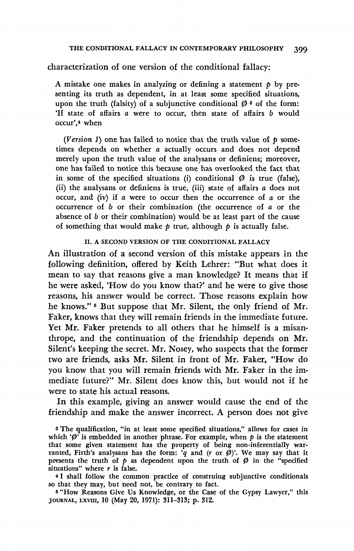### **characterization of one version of the conditional fallacy:**

A mistake one makes in analyzing or defining a statement p by pre**senting its truth as dependent, in at least some specified situations,**  upon the truth (falsity) of a subjunctive conditional  $\varnothing$ <sup>3</sup> of the form: **'If state of affairs a were to occur, then state of affairs b would occur',4 when** 

**(Version 1) one has failed to notice that the truth value of p sometimes depends on whether a actually occurs and does not depend merely upon the truth value of the analysans or definiens; moreover, one has failed to notice this because one has overlooked the fact that**  in some of the specified situations (i) conditional  $\varnothing$  is true (false), **(ii) the analysans or definiens is true, (iii) state of affairs a does not occur, and (iv) if a were to occur then the occurrence of a or the occurrence of b or their combination (the occurrence of a or the absence of b or their combination) would be at least part of the cause**  of something that would make  $p$  true, although  $p$  is actually false.

#### **II. A SECOND VERSION OF THE CONDITIONAL FALLACY**

**An illustration of a second version of this mistake appears in the following definition, offered by Keith Lehrer: "But what does it mean to say that reasons give a man knowledge? It means that if he were asked, 'How do you know that?' and he were to give those reasons, his answer would be correct. Those reasons explain how he knows." 5 But suppose that Mr. Silent, the only friend of Mr. Faker, knows that they will remain friends in the immediate future. Yet Mr. Faker pretends to all others that he himself is a misanthrope, and the continuation of the friendship depends on Mr. Silent's keeping the secret. Mr. Nosey, who suspects that the former two are friends, asks Mr. Silent in front of Mr. Faker, "How do you know that you will remain friends with Mr. Faker in the immediate future?" Mr. Silent does know this, but would not if he were to state his actual reasons.** 

**In this example, giving an answer would cause the end of the friendship and make the answer incorrect. A person does not give** 

**3 The qualification, "in at least some specified situations," allows for cases in**  which ' $\varphi$ ' is embedded in another phrase. For example, when  $p$  is the statement **that some given statement has the property of being non-inferentially war**ranted, Firth's analysans has the form: 'q and (r or  $\varnothing$ )'. We may say that it presents the truth of  $p$  as dependent upon the truth of  $\varnothing$  in the "specified **situations" where r is false.** 

**<sup>4</sup>I shall follow the common practice of construing subjunctive conditionals so that they may, but need not, be contrary to fact.** 

<sup>5</sup> "How Reasons Give Us Knowledge, or the Case of the Gypsy Lawyer," this **JOURNAL, LXVIII, 10 (May 20, 1971): 311-313; p. 312.**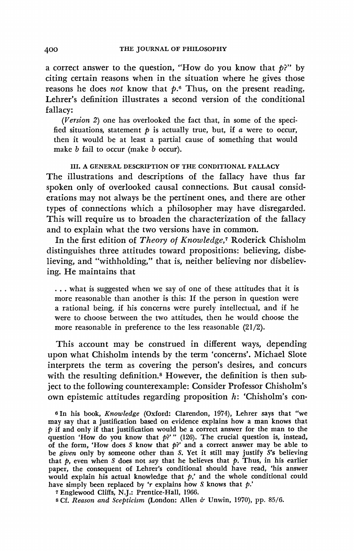**a correct answer to the question, "How do you know that**  $p$ **?" by citing certain reasons when in the situation where he gives those**  reasons he does *not* know that  $p^6$ . Thus, on the present reading, **Lehrer's definition illustrates a second version of the conditional fallacy:** 

**(Version 2) one has overlooked the fact that, in some of the speci**fied situations, statement  $p$  is actually true, but, if  $a$  were to occur, **then it would be at least a partial cause of something that would make b fail to occur (make b occur).** 

**III. A GENERAL DESCRIPTION OF THE CONDITIONAL FALLACY The illustrations and descriptions of the fallacy have thus far spoken only of overlooked causal connections. But causal considerations may not always be the pertinent ones, and there are other types of connections which a philosopher may have disregarded. This will require us to broaden the characterization of the fallacy and to explain what the two versions have in common.** 

**In the first edition of Theory of Knowledge,7 Roderick Chisholm distinguishes three attitudes toward propositions: believing, disbelieving, and "withholding," that is, neither believing nor disbelieving. He maintains that** 

**... what is suggested when we say of one of these attitudes that it is more reasonable than another is this: If the person in question were a rational being, if his concerns were purely intellectual, and if he were to choose between the two attitudes, then he would choose the more reasonable in preference to the less reasonable (21/2).** 

**This account may be construed in different ways, depending upon what Chisholm intends by the term 'concerns'. Michael Slote interprets the term as covering the person's desires, and concurs with the resulting definition.8 However, the definition is then subject to the following counterexample: Consider Professor Chisholm's own epistemic attitudes regarding proposition h: 'Chisholm's con-**

**<sup>6</sup> In his book, Knowledge (Oxford: Clarendon, 1974), Lehrer says that "we may say that a justification based on evidence explains how a man knows that p if and only if that justification would be a correct answer for the man to the question 'How do you know that p?'" (126). The crucial question is, instead, of the form, 'How does S know that p?' and a correct answer may be able to be given only by someone other than S. Yet it still may justify S's believing that p, even when S does not say that he believes that p. Thus, in his earlier paper, the consequent of Lehrer's conditional should have read, 'his answer**  would explain his actual knowledge that p,' and the whole conditional could **have simply been replaced by 'r explains how S knows that p.'** 

**<sup>7</sup>Englewood Cliffs, N.J.: Prentice-Hall, 1966.** 

**<sup>8</sup> Cf. Reason and Scepticism (London: Allen & Unwin, 1970), pp. 85/6.**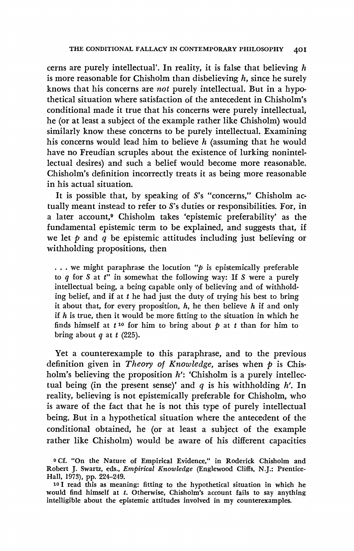**cerns are purely intellectual'. In reality, it is false that believing h is more reasonable for Chisholm than disbelieving h, since he surely knows that his concerns are not purely intellectual. But in a hypothetical situation where satisfaction of the antecedent in Chisholm's conditional made it true that his concerns were purely intellectual, he (or at least a subject of the example rather like Chisholm) would similarly know these concerns to be purely intellectual. Examining his concerns would lead him to believe h (assuming that he would have no Freudian scruples about the existence of lurking nonintellectual desires) and such a belief would become more reasonable. Chisholm's definition incorrectly treats it as being more reasonable in his actual situation.** 

**It is possible that, by speaking of S's "concerns," Chisholm actually meant instead to refer to S's duties or responsibilities. For, in a later account,9 Chisholm takes 'epistemic preferability' as the fundamental epistemic term to be explained, and suggests that, if**  we let  $p$  and  $q$  be epistemic attitudes including just believing or **withholding propositions, then** 

**... we might paraphrase the locution "p is epistemically preferable to q for S at t" in somewhat the following way: If S were a purely intellectual being, a being capable only of believing and of withholding belief, and if at t he had just the duty of trying his best to bring it about that, for every proposition, h, he then believe h if and only if h is true, then it would be more fitting to the situation in which he**  finds himself at  $t^{10}$  for him to bring about  $p$  at  $t$  than for him to bring about  $q$  at  $t$  (225).

**Yet a counterexample to this paraphrase, and to the previous definition given in Theory of Knowledge, arises when p is Chisholm's believing the proposition h': 'Chisholm is a purely intellectual being (in the present sense)' and q is his withholding h'. In reality, believing is not epistemically preferable for Chisholm, who is aware of the fact that he is not this type of purely intellectual being. But in a hypothetical situation where the antecedent of the conditional obtained, he (or at least a subject of the example rather like Chisholm) would be aware of his different capacities** 

**<sup>9</sup> Cf. "On the Nature of Empirical Evidence," in Roderick Chisholm and Robert J. Swartz, eds., Empirical Knowledge (Englewood Cliffs, N.J.: Prentice-Hall, 1973), pp. 224-249.** 

**<sup>10</sup>I read this as meaning: fitting to the hypothetical situation in which he would find himself at t. Otherwise, Chisholm's account fails to say anything intelligible about the epistemic attitudes involved in my counterexamples.**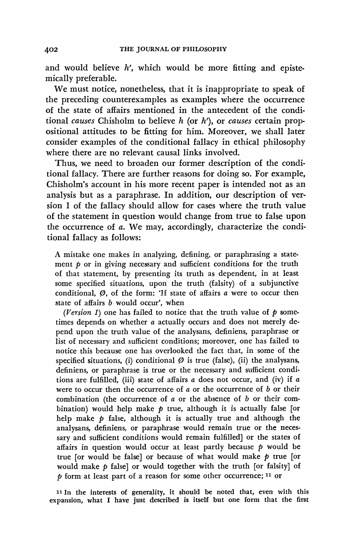**and would believe h', which would be more fitting and epistemically preferable.** 

**We must notice, nonetheless, that it is inappropriate to speak of the preceding counterexamples as examples where the occurrence of the state of affairs mentioned in the antecedent of the conditional causes Chisholm to believe h (or h'), or causes certain propositional attitudes to be fitting for him. Moreover, we shall later consider examples of the conditional fallacy in ethical philosophy where there are no relevant causal links involved.** 

**Thus, we need to broaden our former description of the conditional fallacy. There are further reasons for doing so. For example, Chisholm's account in his more recent paper is intended not as an analysis but as a paraphrase. In addition, our description of version 1 of the fallacy should allow for cases where the truth value of the statement in question would change from true to false upon the occurrence of a. We may, accordingly, characterize the conditional fallacy as follows:** 

**A mistake one makes in analyzing, defining, or paraphrasing a statement p or in giving necessary and sufficient conditions for the truth of that statement, by presenting its truth as dependent, in at least some specified situations, upon the truth (falsity) of a subjunctive**  conditional, Ø, of the form: 'If state of affairs a were to occur then **state of affairs b would occur', when** 

**(Version 1) one has failed to notice that the truth value of p sometimes depends on whether a actually occurs and does not merely depend upon the truth value of the analysans, definiens, paraphrase or list of necessary and sufficient conditions; moreover, one has failed to notice this because one has overlooked the fact that, in some of the**  specified situations, (i) conditional  $\emptyset$  is true (false), (ii) the analysans, **definiens, or paraphrase is true or the necessary and sufficient conditions are fulfilled, (iii) state of affairs a does not occur, and (iv) if a were to occur then the occurrence of a or the occurrence of b or their combination (the occurrence of a or the absence of b or their combination) would help make p true, although it is actually false [or help make p false, although it is actually true and although the analysans, definiens, or paraphrase would remain true or the necessary and sufficient conditions would remain fulfilled] or the states of affairs in question would occur at least partly because p would be true [or would be false] or because of what would make p true [or would make p false] or would together with the truth [or falsity] of p form at least part of a reason for some other occurrence; 11 or** 

**11 In the interests of generality, it should be noted that, even with this expansion, what I have just described is itself but one form that the first**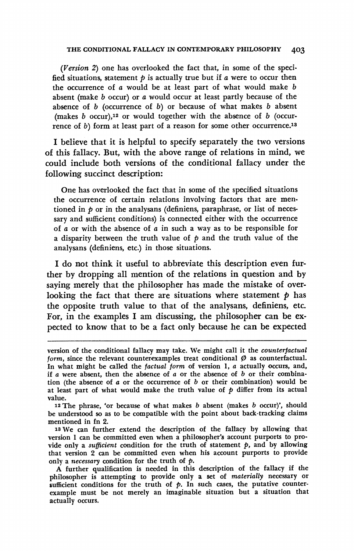#### **THE CONDITIONAL FALLACY IN CONTEMPORARY PHILOSOPHY 403**

**(Version 2) one has overlooked the fact that, in some of the speci**fied situations, statement  $p$  is actually true but if  $a$  were to occur then **the occurrence of a would be at least part of what would make b absent (make b occur) or a would occur at least partly because of the absence of b (occurrence of b) or because of what makes b absent (makes b occur),12 or would together with the absence of b (occurrence of b) form at least part of a reason for some other occurrence.13** 

**I believe that it is helpful to specify separately the two versions of this fallacy. But, with the above range of relations in mind, we could include both versions of the conditional fallacy under the following succinct description:** 

**One has overlooked the fact that in some of the specified situations the occurrence of certain relations involving factors that are mentioned in p or in the analysans (definiens, paraphrase, or list of necessary and sufficient conditions) is connected either with the occurrence of a or with the absence of a in such a way as to be responsible for a disparity between the truth value of p and the truth value of the analysans (definiens, etc.) in those situations.** 

**I do not think it useful to abbreviate this description even further by dropping all mention of the relations in question and by saying merely that the philosopher has made the mistake of over**looking the fact that there are situations where statement  $p$  has **the opposite truth value to that of the analysans, definiens, etc. For, in the examples I am discussing, the philosopher can be expected to know that to be a fact only because he can be expected** 

**version of the conditional fallacy may take. We might call it the counterfactual**  form, since the relevant counterexamples treat conditional  $\varnothing$  as counterfactual. **In what might be called the factual form of version 1, a actually occurs, and, if a were absent, then the absence of a or the absence of b or their combination (the absence of a or the occurrence of b or their combination) would be at least part of what would make the truth value of p differ from its actual value.** 

**<sup>12</sup>The phrase, 'or because of what makes b absent (makes b occur)', should be understood so as to be compatible with the point about back-tracking claims mentioned in fn 2.** 

**<sup>13</sup> We can further extend the description of the fallacy by allowing that version 1 can be committed even when a philosopher's account purports to pro**vide only a *sufficient* condition for the truth of statement p, and by allowing **that version 2 can be committed even when his account purports to provide only a necessary condition for the truth of p.** 

**A further qualification is needed in this description of the fallacy if the philosopher is attempting to provide only a set of materially necessary or**  sufficient conditions for the truth of p. In such cases, the putative counter**example must be not merely an imaginable situation but a situation that actually occurs.**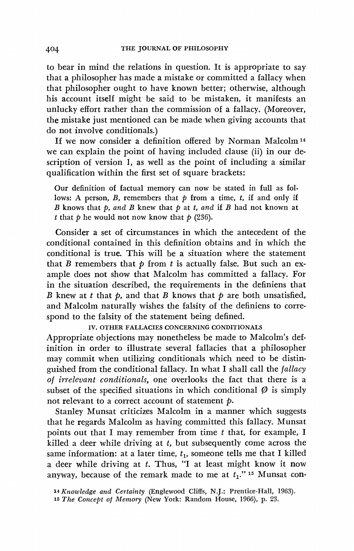**to bear in mind the relations in question. It is appropriate to say that a philosopher has made a mistake or committed a fallacy when that philosopher ought to have known better; otherwise, although his account itself might be said to be mistaken, it manifests an unlucky effort rather than the commission of a fallacy. (Moreover, the mistake just mentioned can be made when giving accounts that do not involve conditionals.)** 

**If we now consider a definition offered by Norman Malcolm14 we can explain the point of having included clause (ii) in our description of version 1, as well as the point of including a similar qualification within the first set of square brackets:** 

**Our definition of factual memory can now be stated in full as fol**lows: A person,  $B$ , remembers that  $p$  from a time,  $t$ , if and only if  $B$  knows that  $p$ , and  $B$  knew that  $p$  at  $t$ , and if  $B$  had not known at *t* that  $\phi$  he would not now know that  $\phi$  (236).

**Consider a set of circumstances in which the antecedent of the conditional contained in this definition obtains and in which the conditional is true. This will be a situation where the statement**  that B remembers that  $p$  from  $t$  is actually false. But such an ex**ample does not show that Malcolm has committed a fallacy. For in the situation described, the requirements in the definiens that B** knew at *t* that  $\hat{p}$ , and that **B** knows that  $\hat{p}$  are both unsatisfied, **and Malcolm naturally wishes the falsity of the definiens to correspond to the falsity of the statement being defined.** 

**IV. OTHER FALLACIES CONCERNING CONDITIONALS Appropriate objections may nonetheless be made to Malcolm's definition in order to illustrate several fallacies that a philosopher may commit when utilizing conditionals which need to be distinguished from the conditional fallacy. In what I shall call the fallacy of irrelevant conditionals, one overlooks the fact that there is a**  subset of the specified situations in which conditional  $\varnothing$  is simply **not relevant to a correct account of statement p.** 

**Stanley Munsat criticizes Malcolm in a manner which suggests that he regards Malcolm as having committed this fallacy. Munsat points out that I may remember from time t that, for example, I killed a deer while driving at t, but subsequently come across the**  same information: at a later time,  $t_1$ , someone tells me that I killed **a deer while driving at t. Thus, "I at least might know it now**  anyway, because of the remark made to me at  $t_1$ ."<sup>15</sup> Munsat con-

**14 Knowledge and Certainty (Englewood Cliffs, N.J.: Prentice-Hall, 1963). 15 The Concept of Memory (New York: Random House, 1966), p. 23.**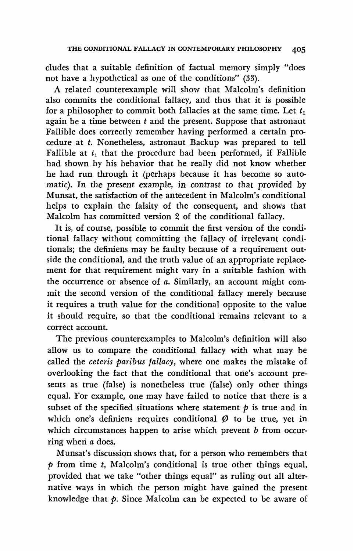**cludes that a suitable definition of factual memory simply "does not have a hypothetical as one of the conditions" (33).** 

**A related counterexample will show that Malcolm's definition also commits the conditional fallacy, and thus that it is possible**  for a philosopher to commit both fallacies at the same time. Let  $t_1$ **again be a time between t and the present. Suppose that astronaut Fallible does correctly remember having performed a certain procedure at t. Nonetheless, astronaut Backup was prepared to tell**  Fallible at  $t_1$  that the procedure had been performed, if Fallible **had shown by his behavior that he really did not know whether he had run through it (perhaps because it has become so automatic). In the present example, in contrast to that provided by Munsat, the satisfaction of the antecedent in Malcolm's conditional helps to explain the falsity of the consequent, and shows that Malcolm has committed version 2 of the conditional fallacy.** 

**It is, of course, possible to commit the first version of the conditional fallacy without committing the fallacy of irrelevant conditionals; the definiens may be faulty because of a requirement outside the conditional, and the truth value of an appropriate replacement for that requirement might vary in a suitable fashion with the occurrence or absence of a. Similarly, an account might commit the second version of the conditional fallacy merely because it requires a truth value for the conditional opposite to the value it should require, so that the conditional remains relevant to a correct account.** 

**The previous counterexamples to Malcolm's definition will also allow us to compare the conditional fallacy with what may be called the ceteris paribus fallacy, where one makes the mistake of overlooking the fact that the conditional that one's account presents as true (false) is nonetheless true (false) only other things equal. For example, one may have failed to notice that there is a**  subset of the specified situations where statement  $p$  is true and in which one's definiens requires conditional  $\varnothing$  to be true, yet in which circumstances happen to arise which prevent *b* from occur**ring when a does.** 

**Munsat's discussion shows that, for a person who remembers that p from time t, Malcolm's conditional is true other things equal, provided that we take "other things equal" as ruling out all alternative ways in which the person might have gained the present knowledge that p. Since Malcolm can be expected to be aware of**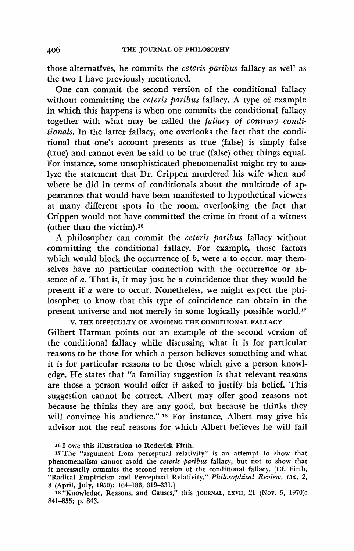**those alternatives, he commits the ceteris paribus fallacy as well as the two I have previously mentioned.** 

**One can commit the second version of the conditional fallacy without committing the ceteris paribus fallacy. A type of example in which this happens is when one commits the conditional fallacy together with what may be called the fallacy of contrary conditionals. In the latter fallacy, one overlooks the fact that the conditional that one's account presents as true (false) is simply false (true) and cannot even be said to be true (false) other things equal. For instance, some unsophisticated phenomenalist might try to analyze the statement that Dr. Crippen murdered his wife when and where he did in terms of conditionals about the multitude of appearances that would have been manifested to hypothetical viewers at many different spots in the room, overlooking the fact that Crippen would not have committed the crime in front of a witness (other than the victim).16** 

**A philosopher can commit the ceteris paribus fallacy without committing the conditional fallacy. For example, those factors**  which would block the occurrence of *b*, were *a* to occur, may them**selves have no particular connection with the occurrence or absence of a. That is, it may just be a coincidence that they would be present if a were to occur. Nonetheless, we might expect the philosopher to know that this type of coincidence can obtain in the present universe and not merely in some logically possible world.17 V. THE DIFFICULTY OF AVOIDING THE CONDITIONAL FALLACY** 

**Gilbert Harman points out an example of the second version of the conditional fallacy while discussing what it is for particular reasons to be those for which a person believes something and what it is for particular reasons to be those which give a person knowledge. He states that "a familiar suggestion is that relevant reasons are those a person would offer if asked to justify his belief. This suggestion cannot be correct. Albert may offer good reasons not because he thinks they are any good, but because he thinks they will convince his audience." 18 For instance, Albert may give his advisor not the real reasons for which Albert believes he will fail** 

**<sup>16</sup> I owe this illustration to Roderick Firth.** 

**<sup>17</sup> The "argument from perceptual relativity" is an attempt to show that phenomenalism cannot avoid the ceteris paribus fallacy, but not to show that it necessarily commits the second version of the conditional fallacy. [Cf. Firth, "Radical Empiricism and Perceptual Relativity," Philosophical Review, LIX, 2, 3 (April, July, 1950): 164-183, 319-331.]** 

**<sup>18</sup> "Kniowledge, Reasons, and Causes," this JOURNAL, LXVII, 21 (Nov. 5, 1970): 841-855; p. 843.**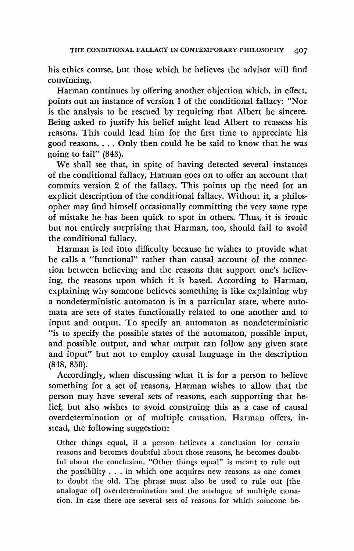**his ethics course, but those which he believes the advisor will find convincing.** 

**Harman continues by offering another objection which, in effect, points out an instance of version 1 of the conditional fallacy: "Nor is the analysis to be rescued by requiring that Albert be sincere. Being asked to justify his belief might lead Albert to reassess his reasons. This could lead him for the first time to appreciate his good reasons... . Only then could he be said to know that he was going to fail" (843).** 

**We shall see that, in spite of having detected several instances of the conditional fallacy, Harman goes on to offer an account that commits version 2 of the fallacy. This points up the need for an explicit description of the conditional fallacy. Without it, a philosopher may find himself occasionally committing the very same type of mistake he has been quick to spot in others. Thus, it is ironic but not entirely surprising that Harman, too, should fail to avoid the conditional fallacy.** 

**Harman is led into difficulty because he wishes to provide what he calls a "functional" rather than causal account of the connection between believing and the reasons that support one's believing, the reasons upon which it is based. According to Harman, explaining why someone believes something is like explaining why a nondeterministic automaton is in a particular state, where automata are sets of states functionally related to one another and to input and output. To specify an automaton as nondeterministic "is to specify the possible states of the automaton, possible input, and possible output, and what output can follow any given state and input" but not to employ causal language in the description (848, 850).** 

**Accordingly, when discussing what it is for a person to believe something for a set of reasons, Harman wishes to allow that the person may have several sets of reasons, each supporting that belief, but also wishes to avoid construing this as a case of causal overdetermination or of multiple causation. Harman offers, instead, the following suggestion:** 

**Other things equal, if a person believes a conclusion for certain reasons and becomes doubtful about those reasons, he becomes doubtful about the conclusion. "Other things equal" is meant to rule out the possibility . . . in which one acquires new reasons as one comes to doubt the old. The phrase must also be used to rule out [the analogue of] overdetermination and the analogue of multiple causation. In case there are several sets of reasons for which someone be-**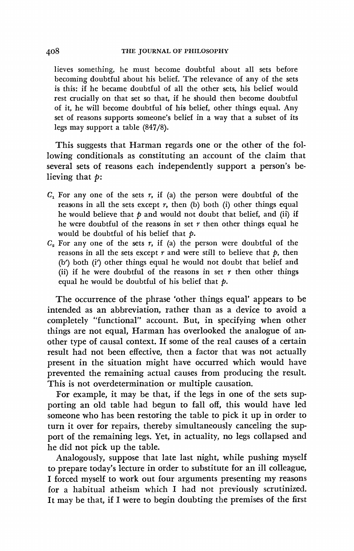**lieves something, he must become doubtful about all sets before becoming doubtful about his belief. The relevance of any of the sets is this: if he became doubtful of all the other sets, his belief would rest crucially on that set so that, if he should then become doubtful of it, he will become doubtful of his belief, other things equal. Any set of reasons supports someone's belief in a way that a subset of its legs may support a table (847/8).** 

**This suggests that Harman regards one or the other of the following conditionals as constituting an account of the claim that several sets of reasons each independently support a person's be**lieving that p:

- **C. For any one of the sets r, if (a) the person were doubtful of the reasons in all the sets except r, then (b) both (i) other things equal he would believe that p and would not doubt that belief, and (ii) if**  he were doubtful of the reasons in set  $r$  then other things equal he **would be doubtful of his belief that p.**
- $C<sub>2</sub>$  For any one of the sets  $r$ , if (a) the person were doubtful of the reasons in all the sets except  $r$  and were still to believe that  $p$ , then **(b') both (i') other things equal he would not doubt that belief and (ii) if he were doubtful of the reasons in set r then other things equal he would be doubtful of his belief that p.**

**The occurrence of the phrase 'other things equal' appears to be intended as an abbreviation, rather than as a device to avoid a completely "functional" account. But, in specifying when other things are not equal, Harman has overlooked the analogue of another type of causal context. If some of the real causes of a certain result had not been effective, then a factor that was not actually present in the situation might have occurred which would have prevented the remaining actual causes from producing the result. This is not overdetermination or multiple causation.** 

**For example, it may be that, if the legs in one of the sets supporting an old table had begun to fall off, this would have led someone who has been restoring the table to pick it up in order to turn it over for repairs, thereby simultaneously canceling the support of the remaining legs. Yet, in actuality, no legs collapsed and he did not pick up the table.** 

**Analogously, suppose that late last night, while pushing myself to prepare today's lecture in order to substitute for an ill colleague, I forced myself to work out four arguments presenting my reasons for a habitual atheism which I had not previously scrutinized. It may be that, if I were to begin doubting the premises of the first**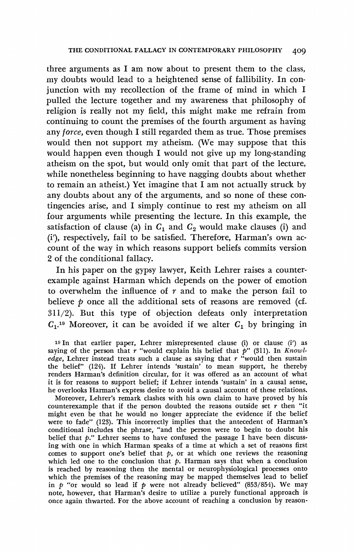**three arguments as I am now about to present them to the class, my doubts would lead to a heightened sense of fallibility. In conjunction with my recollection of the frame of mind in which I pulled the lecture together and my awareness that philosophy of religion is really not my field, this might make me refrain from continuing to count the premises of the fourth argument as having any force, even though I still regarded them as true. Those premises would then not support my atheism. (We may suppose that this would happen even though I would not give up my long-standing atheism on the spot, but would only omit that part of the lecture, while nonetheless beginning to have nagging doubts about whether to remain an atheist.) Yet imagine that I am not actually struck by any doubts about any of the arguments, and so none of these contingencies arise, and I simply continue to rest my atheism on all four arguments while presenting the lecture. In this example, the**  satisfaction of clause (a) in  $C_1$  and  $C_2$  would make clauses (i) and **(i'), respectively, fail to be satisfied. Therefore, Harman's own account of the way in which reasons support beliefs commits version 2 of the conditional fallacy.** 

**In his paper on the gypsy lawyer, Keith Lehrer raises a counterexample against Harman which depends on the power of emotion to overwhelm the influence of r and to make the person fail to**  believe  $p$  once all the additional sets of reasons are removed (cf. **311/2). But this type of objection defeats only interpretation**   $C_1$ <sup>19</sup> Moreover, it can be avoided if we alter  $C_1$  by bringing in

**Moreover, Lehrer's remark clashes with his own claim to have proved by his counterexample that if the person doubted the reasons outside set r then "it might even be that he would no longer appreciate the evidence if the belief were to fade" (123). This incorrectly implies that the antecedent of Harman's conditional includes the phrase, "and the person were to begin to doubt his belief that p." Lehrer seems to have confused the passage I have been discussing with one in which Harman speaks of a time at which a set of reasons first**  comes to support one's belief that  $p$ , or at which one reviews the reasoning which led one to the conclusion that p. Harman says that when a conclusion **is reached by reasoning then the mental or neurophysiological processes onto**  which the premises of the reasoning may be mapped themselves lead to belief in  $p$  "or would so lead if  $p$  were not already believed" (853/854). We may **note, however, that Harman's desire to utilize a purely functional approach is once again thwarted. For the above account of reaching a conclusion by reason-** 

**<sup>19</sup> In that earlier paper, Lehrer misrepresented clause (i) or clause (i') as**  saying of the person that r "would explain his belief that p" (311). In Knowl**edge, Lehrer instead treats such a clause as saying that r "would then sustain the belief" (124). If Lehrer intends 'sustain' to mean support, he thereby renders Harman's definition circular, for it was offered as an account of what it is for reasons to support belief; if Lehrer intends 'sustain' in a causal sense, he overlooks Harman's express desire to avoid a causal account of these relations.**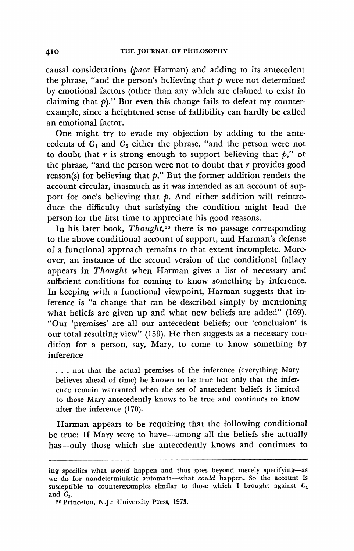**causal considerations (pace Harman) and adding to its antecedent**  the phrase, "and the person's believing that  $p$  were not determined **by emotional factors (other than any which are claimed to exist in claiming that p)." But even this change fails to defeat my counterexample, since a heightened sense of fallibility can hardly be called an emotional factor.** 

**One might try to evade my objection by adding to the ante**cedents of  $C_1$  and  $C_2$  either the phrase, "and the person were not to doubt that r is strong enough to support believing that  $p$ ," or **the phrase, "and the person were not to doubt that r provides good reason(s) for believing that p." But the former addition renders the account circular, inasmuch as it was intended as an account of support for one's believing that P. And either addition will reintroduce the difficulty that satisfying the condition might lead the person for the first time to appreciate his good reasons.** 

In his later book, *Thought*,<sup>20</sup> there is no passage corresponding **to the above conditional account of support, and Harman's defense of a functional approach remains to that extent incomplete. Moreover, an instance of the second version of the conditional fallacy appears in Thought when Harman gives a list of necessary and sufficient conditions for coming to know something by inference. In keeping with a functional viewpoint, Harman suggests that inference is "a change that can be described simply by mentioning what beliefs are given up and what new beliefs are added" (169). "Our 'premises' are all our antecedent beliefs; our 'conclusion' is our total resulting view" (159). He then suggests as a necessary condition for a person, say, Mary, to come to know something by inference** 

**. . . not that the actual premises of the inference (everything Mary believes ahead of time) be known to be true but only that the inference remain warranted when the set of antecedent beliefs is limited to those Mary antecedently knows to be true and continues to know after the inference (170).** 

**Harman appears to be requiring that the following conditional be true: If Mary were to have-among all the beliefs she actually has-only those which she antecedently knows and continues to** 

**ing specifies what would happen and thus goes beyond merely specifying-as we do for nondeterministic automata-what could happen. So the account is**  susceptible to counterexamples similar to those which I brought against  $C_1$ and  $C_{2}$ .

**<sup>20</sup> Princeton, N.J.: University Press, 1973.**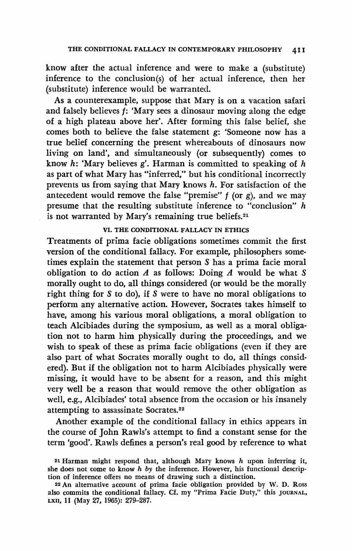**know after the actual inference and were to make a (substitute) inference to the conclusion(s) of her actual inference, then her (substitute) inference would be warranted.** 

**As a counterexample, suppose that Mary is on a vacation safari and falsely believes f: 'Mary sees a dinosaur moving along the edge of a high plateau above her'. After forming this false belief, she comes both to believe the false statement g: 'Someone now has a true belief concerning the present whereabouts of dinosaurs now living on land', and simultaneously (or subsequently) comes to know h: 'Mary believes g'. Harman is committed to speaking of h as part of what Mary has "inferred," but his conditional incorrectly prevents us from saying that Mary knows h. For satisfaction of the antecedent would remove the false "premise" f (or g), and we may presume that the resulting substitute inference to "conclusion" h is not warranted by Mary's remaining true beliefs.21** 

## **VI. THE CONDITIONAL FALLACY IN ETHICS**

**Treatments of prima facie obligations sometimes commit the first version of the conditional fallacy. For example, philosophers sometimes explain the statement that person S has a prima facie moral**  obligation to do action  $A$  as follows: Doing  $\overline{A}$  would be what  $S$ **morally ought to do, all things considered (or would be the morally right thing for S to do), if S were to have no moral obligations to perform any alternative action. However, Socrates takes himself to have, among his various moral obligations, a moral obligation to teach Alcibiades during the symposium, as well as a moral obligation not to harm him physically during the proceedings, and we wish to speak of these as prima facie obligations (even if they are also part of what Socrates morally ought to do, all things considered). But if the obligation not to harm Alcibiades physically were missing, it would have to be absent for a reason, and this might very well be a reason that would remove the other obligation as well, e.g., Alcibiades' total absence from the occasion or his insanely attempting to assassinate Socrates.22** 

**Another example of the conditional fallacy in ethics appears in the course of John Rawls's attempt to find a constant sense for the term 'good'. Rawls defines a person's real good by reference to what** 

**<sup>21</sup>Harman might respond that, although Mary knows h upon inferring it, she does not come to know h by the inference. However, his functional description of inference offers no means of drawing such a distinction.** 

**<sup>22</sup>An alternative account of prima facie obligation provided by W. D. Ross also commits the conditional fallacy. Cf. my "Prima Facie Duty," this JOURNAL, LXII, 11 (May 27, 1965): 279-287.**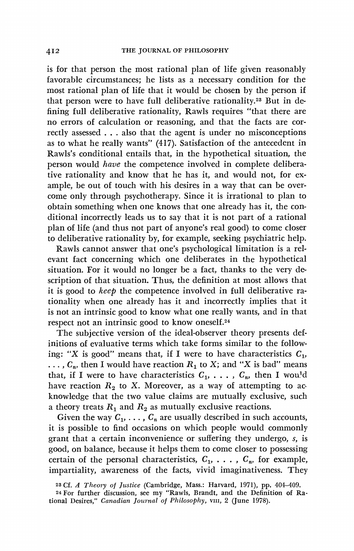**is for that person the most rational plan of life given reasonably favorable circumstances; he lists as a necessary condition for the most rational plan of life that it would be chosen by the person if that person were to have full deliberative rationality.23 But in defining full deliberative rationality, Rawls requires "that there are no errors of calculation or reasoning, and that the facts are correctly assessed . . . also that the agent is under no misconceptions as to what he really wants" (417). Satisfaction of the antecedent in Rawls's conditional entails that, in the hypothetical situation, the person would have the competence involved in complete deliberative rationality and know that he has it, and would not, for example, be out of touch with his desires in a way that can be overcome only through psychotherapy. Since it is irrational to plan to obtain something when one knows that one already has it, the conditional incorrectly leads us to say that it is not part of a rational plan of life (and thus not part of anyone's real good) to come closer to deliberative rationality by, for example, seeking psychiatric help.** 

**Rawls cannot answer that one's psychological limitation is a relevant fact concerning which one deliberates in the hypothetical situation. For it would no longer be a fact, thanks to the very description of that situation. Thus, the definition at most allows that it is good to keep the competence involved in full deliberative rationality when one already has it and incorrectly implies that it is not an intrinsic good to know what one really wants, and in that respect not an intrinsic good to know oneself.24** 

**The subjective version of the ideal-observer theory presents definitions of evaluative terms which take forms similar to the follow**ing: "X is good" means that, if I were to have characteristics  $C_1$ ,  $\ldots$ ,  $C_n$ , then I would have reaction  $R_1$  to X; and "X is bad" means that, if I were to have characteristics  $C_1, \ldots, C_n$ , then I would have reaction  $R_2$  to X. Moreover, as a way of attempting to ac**knowledge that the two value claims are mutually exclusive, such**  a theory treats  $R_1$  and  $R_2$  as mutually exclusive reactions.

Given the way  $C_1, \ldots, C_n$  are usually described in such accounts, **it is possible to find occasions on which people would commonly grant that a certain inconvenience or suffering they undergo, s, is good, on balance, because it helps them to come closer to possessing**  certain of the personal characteristics,  $C_1, \ldots, C_n$ , for example, **impartiality, awareness of the facts, vivid imaginativeness. They** 

**<sup>23</sup>Cf. A Theory of Justice (Cambridge, Mass.: Harvard, 1971), pp. 404-409.** 

**<sup>24</sup> For further discussion, see my "Rawls, Brandt, and the Definition of Ra**tional Desires," Canadian Journal of Philosophy, viii, 2 (June 1978).